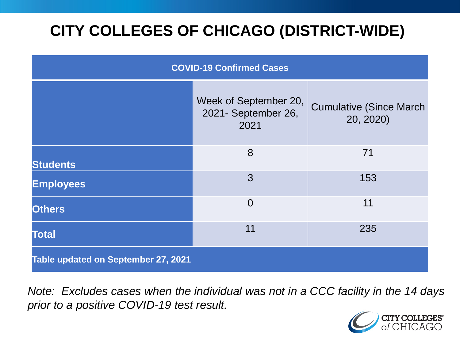# **CITY COLLEGES OF CHICAGO (DISTRICT-WIDE)**

| <b>COVID-19 Confirmed Cases</b>     |                                                      |                                              |
|-------------------------------------|------------------------------------------------------|----------------------------------------------|
|                                     | Week of September 20,<br>2021- September 26,<br>2021 | <b>Cumulative (Since March)</b><br>20, 2020) |
| <b>Students</b>                     | 8                                                    | 71                                           |
| <b>Employees</b>                    | 3                                                    | 153                                          |
| <b>Others</b>                       | $\overline{0}$                                       | 11                                           |
| <b>Total</b>                        | 11                                                   | 235                                          |
| Table updated on September 27, 2021 |                                                      |                                              |

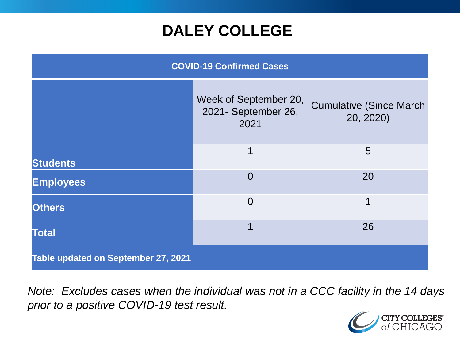## **DALEY COLLEGE**

| <b>COVID-19 Confirmed Cases</b>     |                                                      |                                              |
|-------------------------------------|------------------------------------------------------|----------------------------------------------|
|                                     | Week of September 20,<br>2021- September 26,<br>2021 | <b>Cumulative (Since March)</b><br>20, 2020) |
| <b>Students</b>                     | 1                                                    | 5                                            |
| <b>Employees</b>                    | $\overline{0}$                                       | 20                                           |
| <b>Others</b>                       | $\Omega$                                             | 1                                            |
| <b>Total</b>                        | 1                                                    | 26                                           |
| Table updated on September 27, 2021 |                                                      |                                              |

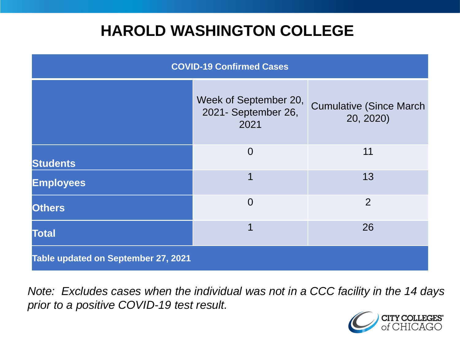## **HAROLD WASHINGTON COLLEGE**

| <b>COVID-19 Confirmed Cases</b>     |                                                      |                                              |
|-------------------------------------|------------------------------------------------------|----------------------------------------------|
|                                     | Week of September 20,<br>2021- September 26,<br>2021 | <b>Cumulative (Since March)</b><br>20, 2020) |
| <b>Students</b>                     | $\overline{0}$                                       | 11                                           |
| <b>Employees</b>                    | 1                                                    | 13                                           |
| <b>Others</b>                       | $\overline{0}$                                       | $\overline{2}$                               |
| <b>Total</b>                        | 1                                                    | 26                                           |
| Table updated on September 27, 2021 |                                                      |                                              |

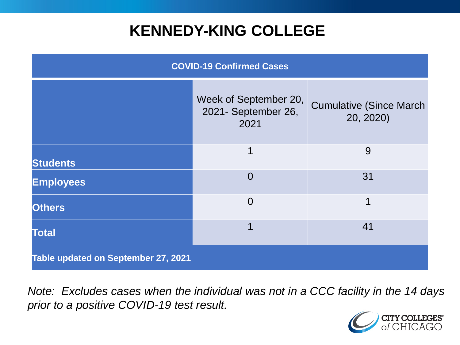## **KENNEDY-KING COLLEGE**

| <b>COVID-19 Confirmed Cases</b>     |                                                      |                                              |
|-------------------------------------|------------------------------------------------------|----------------------------------------------|
|                                     | Week of September 20,<br>2021- September 26,<br>2021 | <b>Cumulative (Since March)</b><br>20, 2020) |
| <b>Students</b>                     | 1                                                    | 9                                            |
| <b>Employees</b>                    | $\Omega$                                             | 31                                           |
| <b>Others</b>                       | $\overline{0}$                                       | 1                                            |
| <b>Total</b>                        | 1                                                    | 41                                           |
| Table updated on September 27, 2021 |                                                      |                                              |

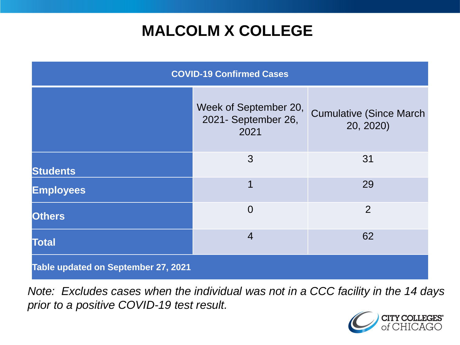# **MALCOLM X COLLEGE**

| <b>COVID-19 Confirmed Cases</b>     |                                                      |                                              |
|-------------------------------------|------------------------------------------------------|----------------------------------------------|
|                                     | Week of September 20,<br>2021- September 26,<br>2021 | <b>Cumulative (Since March)</b><br>20, 2020) |
| <b>Students</b>                     | 3                                                    | 31                                           |
| <b>Employees</b>                    | $\overline{1}$                                       | 29                                           |
| <b>Others</b>                       | $\overline{0}$                                       | $\overline{2}$                               |
| <b>Total</b>                        | $\overline{4}$                                       | 62                                           |
| Table updated on September 27, 2021 |                                                      |                                              |

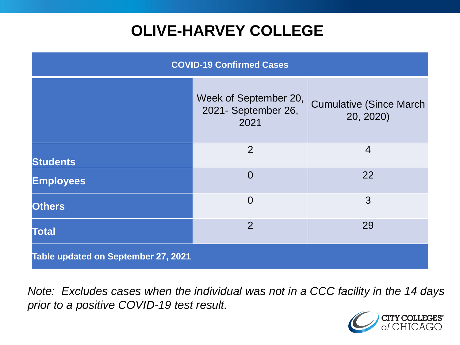# **OLIVE-HARVEY COLLEGE**

| <b>COVID-19 Confirmed Cases</b>     |                                                      |                                              |
|-------------------------------------|------------------------------------------------------|----------------------------------------------|
|                                     | Week of September 20,<br>2021- September 26,<br>2021 | <b>Cumulative (Since March)</b><br>20, 2020) |
| <b>Students</b>                     | 2                                                    | $\overline{4}$                               |
| <b>Employees</b>                    | $\Omega$                                             | 22                                           |
| <b>Others</b>                       | $\overline{0}$                                       | 3                                            |
| <b>Total</b>                        | $\overline{2}$                                       | 29                                           |
| Table updated on September 27, 2021 |                                                      |                                              |

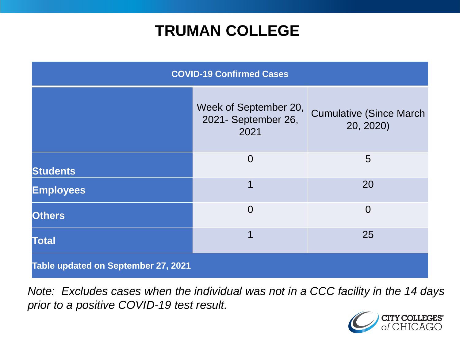## **TRUMAN COLLEGE**

| <b>COVID-19 Confirmed Cases</b>     |                                                      |                                              |
|-------------------------------------|------------------------------------------------------|----------------------------------------------|
|                                     | Week of September 20,<br>2021- September 26,<br>2021 | <b>Cumulative (Since March)</b><br>20, 2020) |
| <b>Students</b>                     | $\overline{0}$                                       | 5                                            |
| <b>Employees</b>                    | 1                                                    | 20                                           |
| <b>Others</b>                       | $\overline{0}$                                       | $\overline{0}$                               |
| <b>Total</b>                        | 1                                                    | 25                                           |
| Table updated on September 27, 2021 |                                                      |                                              |

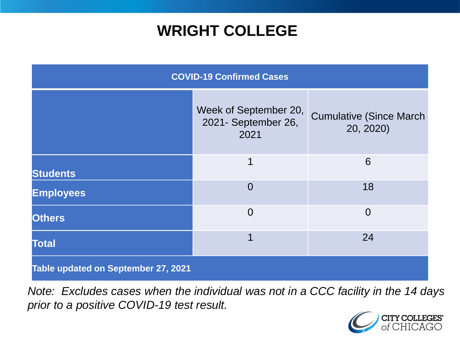## **WRIGHT COLLEGE**

| <b>COVID-19 Confirmed Cases</b>     |                                                      |                                              |
|-------------------------------------|------------------------------------------------------|----------------------------------------------|
|                                     | Week of September 20,<br>2021- September 26,<br>2021 | <b>Cumulative (Since March)</b><br>20, 2020) |
| <b>Students</b>                     | 1                                                    | 6                                            |
| <b>Employees</b>                    | $\overline{0}$                                       | 18                                           |
| <b>Others</b>                       | $\overline{0}$                                       | $\overline{0}$                               |
| <b>Total</b>                        | 1                                                    | 24                                           |
| Table updated on September 27, 2021 |                                                      |                                              |